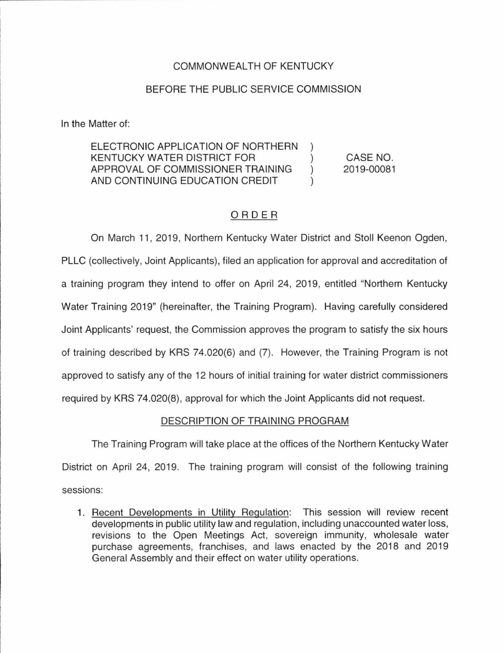# COMMONWEAL TH OF KENTUCKY

## BEFORE THE PUBLIC SERVICE COMMISSION

In the Matter of:

ELECTRONIC APPLICATION OF NORTHERN KENTUCKY WATER DISTRICT FOR ) APPROVAL OF COMMISSIONER TRAINING ) AND CONTINUING EDUCATION CREDIT

CASE NO. 2019-00081

## ORDER

On March 11, 2019, Northern Kentucky Water District and Stoll Keenon Ogden, PLLC (collectively, Joint Applicants), filed an application for approval and accreditation of a training program they intend to offer on April 24, 2019, entitled "Northern Kentucky Water Training 2019" (hereinafter, the Training Program). Having carefully considered Joint Applicants' request, the Commission approves the program to satisfy the six hours of training described by KRS 74.020(6) and (7). However, the Training Program is not approved to satisfy any of the 12 hours of initial training for water district commissioners required by KRS 74.020(8), approval for which the Joint Applicants did not request.

#### DESCRIPTION OF TRAINING PROGRAM

The Training Program will take place at the offices of the Northern Kentucky Water District on April 24, 2019. The training program will consist of the following training sessions:

1. Recent Developments in Utility Regulation: This session will review recent developments in public utility law and regulation, including unaccounted water loss, revisions to the Open Meetings Act, sovereign immunity, wholesale water purchase agreements, franchises, and laws enacted by the 2018 and 2019 General Assembly and their effect on water utility operations.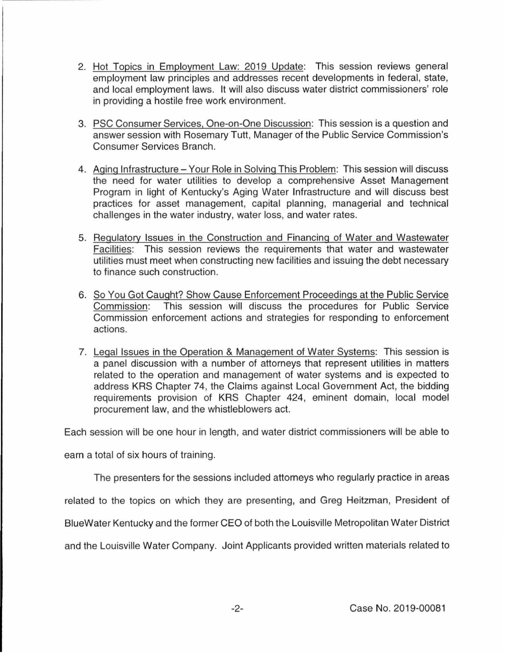- 2. Hot Topics in Employment Law: 2019 Update: This session reviews general employment law principles and addresses recent developments in federal, state, and local employment laws. It will also discuss water district commissioners' role in providing a hostile free work environment.
- 3. PSC Consumer Services, One-on-One Discussion: This session is a question and answer session with Rosemary Tutt, Manager of the Public Service Commission's Consumer Services Branch.
- 4. Aging Infrastructure Your Role in Solving This Problem: This session will discuss the need for water utilities to develop a comprehensive Asset Management Program in light of Kentucky's Aging Water Infrastructure and will discuss best practices for asset management, capital planning, managerial and technical challenges in the water industry, water loss, and water rates.
- 5. Regulatory Issues in the Construction and Financing of Water and Wastewater Facilities: This session reviews the requirements that water and wastewater utilities must meet when constructing new facilities and issuing the debt necessary to finance such construction.
- 6. So You Got Caught? Show Cause Enforcement Proceedings at the Public Service Commission: This session will discuss the procedures for Public Service Commission enforcement actions and strategies for responding to enforcement actions.
- 7. Legal Issues in the Operation & Management of Water Systems: This session is a panel discussion with a number of attorneys that represent utilities in matters related to the operation and management of water systems and is expected to address KRS Chapter 74, the Claims against Local Government Act, the bidding requirements provision of KRS Chapter 424, eminent domain, local model procurement law, and the whistleblowers act.

Each session will be one hour in length, and water district commissioners will be able to

earn a total of six hours of training.

The presenters for the sessions included attorneys who regularly practice in areas

related to the topics on which they are presenting, and Greg Heitzman, President of

BlueWater Kentucky and the former CEO of both the Louisville Metropolitan Water District

and the Louisville Water Company. Joint Applicants provided written materials related to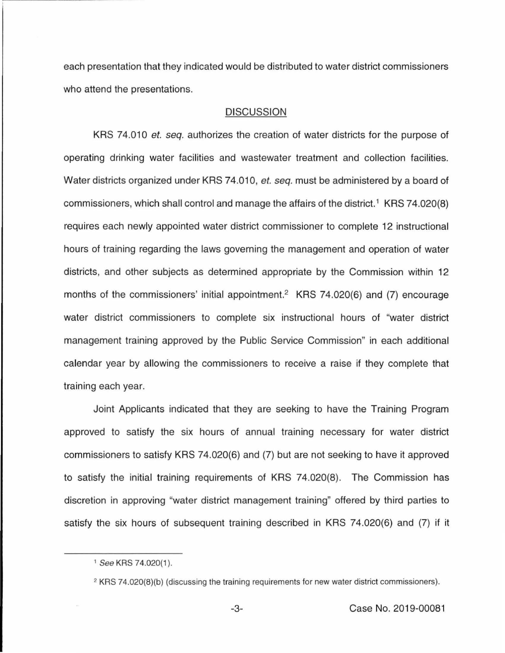each presentation that they indicated would be distributed to water district commissioners who attend the presentations.

#### **DISCUSSION**

KRS 74.010 *et. seq.* authorizes the creation of water districts for the purpose of operating drinking water facilities and wastewater treatment and collection facilities. Water districts organized under KRS 74.010, *et. seq.* must be administered by a board of commissioners, which shall control and manage the affairs of the district.<sup>1</sup> KRS 74.020(8) requires each newly appointed water district commissioner to complete 12 instructional hours of training regarding the laws governing the management and operation of water districts, and other subjects as determined appropriate by the Commission within 12 months of the commissioners' initial appointment.<sup>2</sup> KRS 74.020(6) and (7) encourage water district commissioners to complete six instructional hours of "water district management training approved by the Public Service Commission" in each additional calendar year by allowing the commissioners to receive a raise if they complete that training each year.

Joint Applicants indicated that they are seeking to have the Training Program approved to satisfy the six hours of annual training necessary for water district commissioners to satisfy KRS 74.020(6) and (7) but are not seeking to have it approved to satisfy the initial training requirements of KRS 74.020(8). The Commission has discretion in approving "water district management training" offered by third parties to satisfy the six hours of subsequent training described in KRS 74.020(6) and (7) if it

<sup>&</sup>lt;sup>1</sup> See KRS 74.020(1).

<sup>&</sup>lt;sup>2</sup> KRS 74.020(8)(b) (discussing the training requirements for new water district commissioners).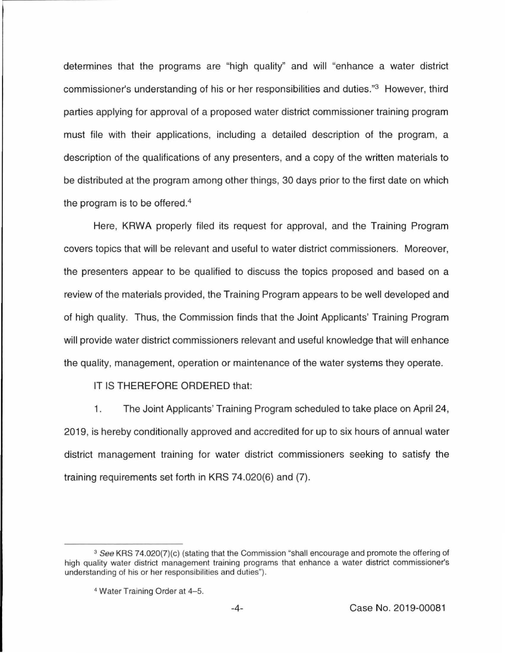determines that the programs are "high quality" and will "enhance a water district commissioner's understanding of his or her responsibilities and duties."3 However, third parties applying for approval of a proposed water district commissioner training program must file with their applications, including a detailed description of the program, a description of the qualifications of any presenters, and a copy of the written materials to be distributed at the program among other things, 30 days prior to the first date on which the program is to be offered. 4

Here, KRWA properly filed its request for approval, and the Training Program covers topics that will be relevant and useful to water district commissioners. Moreover, the presenters appear to be qualified to discuss the topics proposed and based on a review of the materials provided, the Training Program appears to be well developed and of high quality. Thus, the Commission finds that the Joint Applicants' Training Program will provide water district commissioners relevant and useful knowledge that will enhance the quality, management, operation or maintenance of the water systems they operate.

IT IS THEREFORE ORDERED that:

1. The Joint Applicants' Training Program scheduled to take place on April 24, 2019, is hereby conditionally approved and accredited for up to six hours of annual water district management training for water district commissioners seeking to satisfy the training requirements set forth in KRS 74.020(6) and (7).

<sup>&</sup>lt;sup>3</sup> See KRS 74.020(7)(c) (stating that the Commission "shall encourage and promote the offering of high quality water district management training programs that enhance a water district commissioner's understanding of his or her responsibilities and duties").

<sup>4</sup>Water Training Order at 4-5.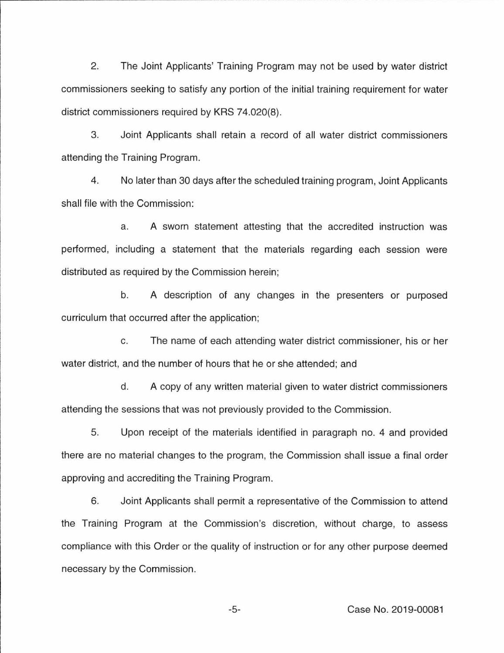2. The Joint Applicants' Training Program may not be used by water district commissioners seeking to satisfy any portion of the initial training requirement for water district commissioners required by KRS 74.020(8).

3. Joint Applicants shall retain a record of all water district commissioners attending the Training Program.

4. No later than 30 days after the scheduled training program, Joint Applicants shall file with the Commission:

a. A sworn statement attesting that the accredited instruction was performed, including a statement that the materials regarding each session were distributed as required by the Commission herein;

b. A description of any changes in the presenters or purposed curriculum that occurred after the application;

c. The name of each attending water district commissioner, his or her water district, and the number of hours that he or she attended; and

d. A copy of any written material given to water district commissioners attending the sessions that was not previously provided to the Commission.

5. Upon receipt of the materials identified in paragraph no. 4 and provided there are no material changes to the program, the Commission shall issue a final order approving and accrediting the Training Program.

6. Joint Applicants shall permit a representative of the Commission to attend the Training Program at the Commission's discretion, without charge, to assess compliance with this Order or the quality of instruction or for any other purpose deemed necessary by the Commission.

-5- Case No. 2019-00081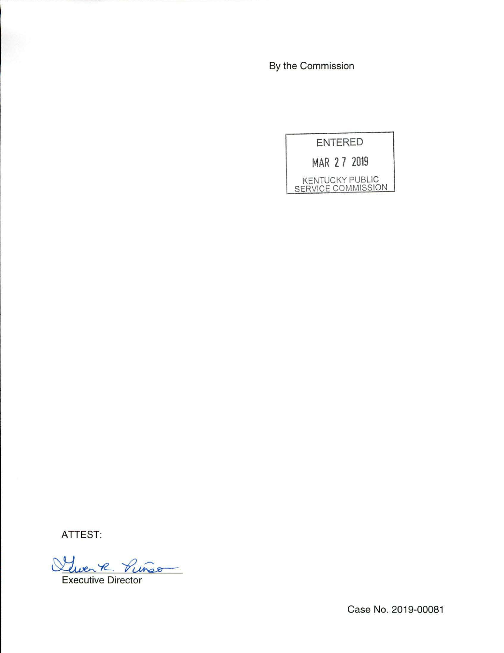By the Commission

**ENTERED MAR 2 7 2019**  KENTUCKY PUBLIC SERVICE COMMISSION

**ATTEST:** 

Quen R. Punso

Case No. 2019-00081